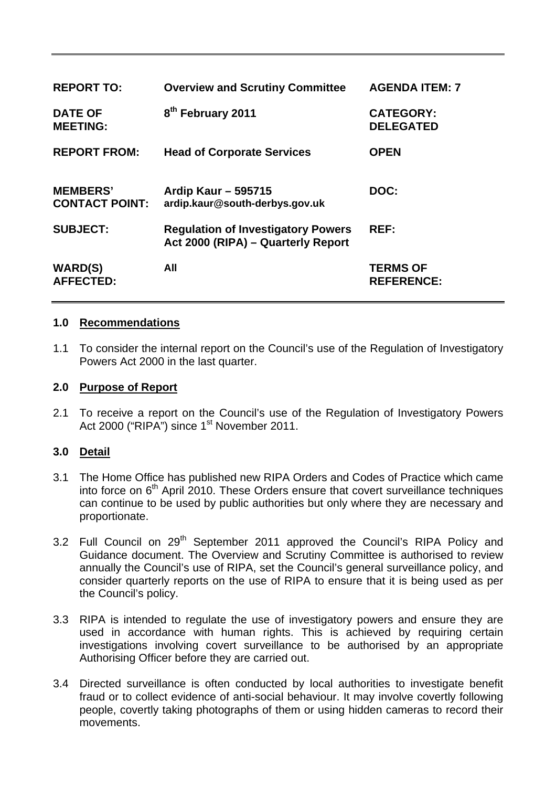| <b>REPORT TO:</b>                        | <b>Overview and Scrutiny Committee</b>                                          | <b>AGENDA ITEM: 7</b>                |
|------------------------------------------|---------------------------------------------------------------------------------|--------------------------------------|
| <b>DATE OF</b><br><b>MEETING:</b>        | 8 <sup>th</sup> February 2011                                                   | <b>CATEGORY:</b><br><b>DELEGATED</b> |
| <b>REPORT FROM:</b>                      | <b>Head of Corporate Services</b>                                               | <b>OPEN</b>                          |
| <b>MEMBERS'</b><br><b>CONTACT POINT:</b> | <b>Ardip Kaur - 595715</b><br>ardip.kaur@south-derbys.gov.uk                    | DOC:                                 |
| <b>SUBJECT:</b>                          | <b>Regulation of Investigatory Powers</b><br>Act 2000 (RIPA) - Quarterly Report | REF:                                 |
| <b>WARD(S)</b><br><b>AFFECTED:</b>       | All                                                                             | <b>TERMS OF</b><br><b>REFERENCE:</b> |

### **1.0 Recommendations**

1.1 To consider the internal report on the Council's use of the Regulation of Investigatory Powers Act 2000 in the last quarter.

#### **2.0 Purpose of Report**

2.1 To receive a report on the Council's use of the Regulation of Investigatory Powers Act 2000 ("RIPA") since 1<sup>st</sup> November 2011.

# **3.0 Detail**

- 3.1 The Home Office has published new RIPA Orders and Codes of Practice which came into force on  $6<sup>th</sup>$  April 2010. These Orders ensure that covert surveillance techniques can continue to be used by public authorities but only where they are necessary and proportionate.
- 3.2 Full Council on 29<sup>th</sup> September 2011 approved the Council's RIPA Policy and Guidance document. The Overview and Scrutiny Committee is authorised to review annually the Council's use of RIPA, set the Council's general surveillance policy, and consider quarterly reports on the use of RIPA to ensure that it is being used as per the Council's policy.
- 3.3 RIPA is intended to regulate the use of investigatory powers and ensure they are used in accordance with human rights. This is achieved by requiring certain investigations involving covert surveillance to be authorised by an appropriate Authorising Officer before they are carried out.
- 3.4 Directed surveillance is often conducted by local authorities to investigate benefit fraud or to collect evidence of anti-social behaviour. It may involve covertly following people, covertly taking photographs of them or using hidden cameras to record their movements.